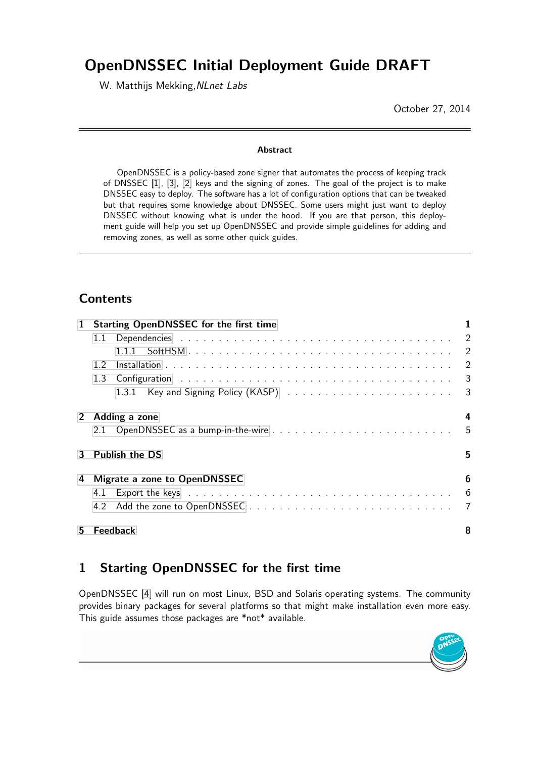# OpenDNSSEC Initial Deployment Guide DRAFT

W. Matthijs Mekking, NLnet Labs

October 27, 2014

#### Abstract

OpenDNSSEC is a policy-based zone signer that automates the process of keeping track of DNSSEC [\[1\]](#page-7-0), [\[3\]](#page-7-1), [\[2\]](#page-7-2) keys and the signing of zones. The goal of the project is to make DNSSEC easy to deploy. The software has a lot of configuration options that can be tweaked but that requires some knowledge about DNSSEC. Some users might just want to deploy DNSSEC without knowing what is under the hood. If you are that person, this deployment guide will help you set up OpenDNSSEC and provide simple guidelines for adding and removing zones, as well as some other quick guides.

# **Contents**

| 1                      | <b>Starting OpenDNSSEC for the first time</b> |                 |  |  |  |
|------------------------|-----------------------------------------------|-----------------|--|--|--|
|                        | 1.1                                           |                 |  |  |  |
|                        |                                               |                 |  |  |  |
|                        | 12                                            |                 |  |  |  |
|                        | 1.3                                           |                 |  |  |  |
|                        |                                               |                 |  |  |  |
| $2 -$<br>Adding a zone |                                               |                 |  |  |  |
|                        |                                               | $-5$            |  |  |  |
| 3                      | <b>Publish the DS</b>                         |                 |  |  |  |
| 4                      | Migrate a zone to OpenDNSSEC                  | 6               |  |  |  |
|                        |                                               | $6\overline{6}$ |  |  |  |
|                        |                                               |                 |  |  |  |
| 5                      | Feedback                                      | 8               |  |  |  |

# <span id="page-0-0"></span>1 Starting OpenDNSSEC for the first time

OpenDNSSEC [\[4\]](#page-7-4) will run on most Linux, BSD and Solaris operating systems. The community provides binary packages for several platforms so that might make installation even more easy. This guide assumes those packages are \*not\* available.

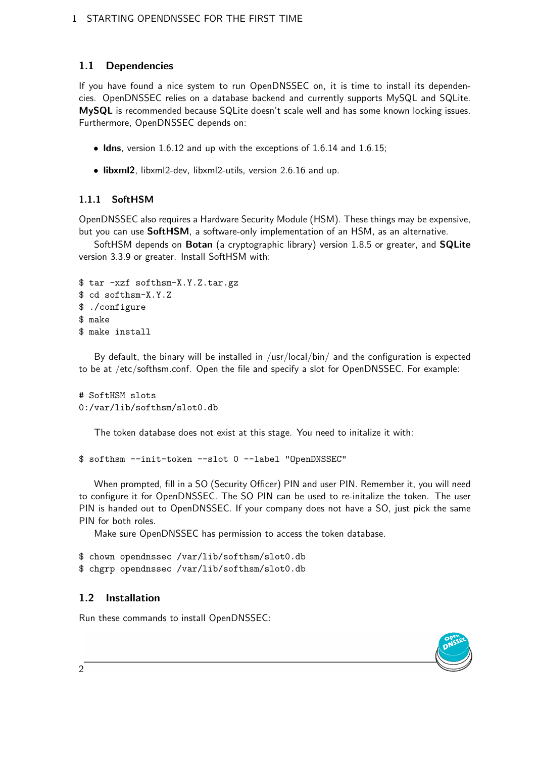## <span id="page-1-0"></span>1.1 Dependencies

If you have found a nice system to run OpenDNSSEC on, it is time to install its dependencies. OpenDNSSEC relies on a database backend and currently supports MySQL and SQLite. MySQL is recommended because SQLite doesn't scale well and has some known locking issues. Furthermore, OpenDNSSEC depends on:

- Idns, version 1.6.12 and up with the exceptions of 1.6.14 and 1.6.15;
- libxml2, libxml2-dev, libxml2-utils, version 2.6.16 and up.

### <span id="page-1-1"></span>1.1.1 SoftHSM

OpenDNSSEC also requires a Hardware Security Module (HSM). These things may be expensive, but you can use SoftHSM, a software-only implementation of an HSM, as an alternative.

SoftHSM depends on Botan (a cryptographic library) version 1.8.5 or greater, and SQLite version 3.3.9 or greater. Install SoftHSM with:

```
$ tar -xzf softhsm-X.Y.Z.tar.gz
$ cd softhsm-X.Y.Z
$ ./configure
$ make
$ make install
```
By default, the binary will be installed in  $/$ usr $/$ local $/$ bin $/$  and the configuration is expected to be at /etc/softhsm.conf. Open the file and specify a slot for OpenDNSSEC. For example:

```
# SoftHSM slots
0:/var/lib/softhsm/slot0.db
```
The token database does not exist at this stage. You need to initalize it with:

```
$ softhsm --init-token --slot 0 --label "OpenDNSSEC"
```
When prompted, fill in a SO (Security Officer) PIN and user PIN. Remember it, you will need to configure it for OpenDNSSEC. The SO PIN can be used to re-initalize the token. The user PIN is handed out to OpenDNSSEC. If your company does not have a SO, just pick the same PIN for both roles.

Make sure OpenDNSSEC has permission to access the token database.

```
$ chown opendnssec /var/lib/softhsm/slot0.db
$ chgrp opendnssec /var/lib/softhsm/slot0.db
```
### <span id="page-1-2"></span>1.2 Installation

Run these commands to install OpenDNSSEC:

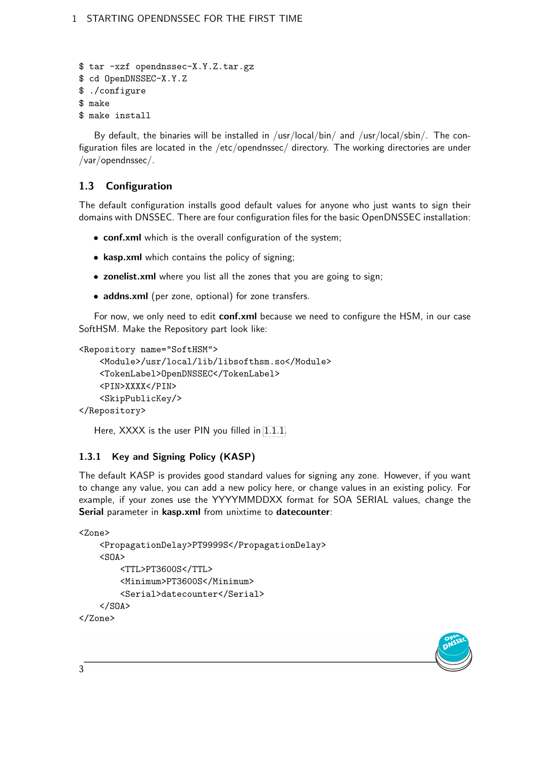```
$ tar -xzf opendnssec-X.Y.Z.tar.gz
$ cd OpenDNSSEC-X.Y.Z
$ ./configure
$ make
$ make install
```
By default, the binaries will be installed in /usr/local/bin/ and /usr/local/sbin/. The configuration files are located in the /etc/opendnssec/ directory. The working directories are under /var/opendnssec/.

### <span id="page-2-0"></span>1.3 Configuration

The default configuration installs good default values for anyone who just wants to sign their domains with DNSSEC. There are four configuration files for the basic OpenDNSSEC installation:

- conf.xml which is the overall configuration of the system;
- kasp.xml which contains the policy of signing;
- zonelist.xml where you list all the zones that you are going to sign;
- addns.xml (per zone, optional) for zone transfers.

For now, we only need to edit conf.xml because we need to configure the HSM, in our case SoftHSM. Make the Repository part look like:

```
<Repository name="SoftHSM">
```

```
<Module>/usr/local/lib/libsofthsm.so</Module>
    <TokenLabel>OpenDNSSEC</TokenLabel>
    <PIN>XXXX</PIN>
    <SkipPublicKey/>
</Repository>
```
Here, XXXX is the user PIN you filled in [1.1.1.](#page-1-1)

#### <span id="page-2-1"></span>1.3.1 Key and Signing Policy (KASP)

The default KASP is provides good standard values for signing any zone. However, if you want to change any value, you can add a new policy here, or change values in an existing policy. For example, if your zones use the YYYYMMDDXX format for SOA SERIAL values, change the Serial parameter in kasp.xml from unixtime to datecounter:

```
<Zone>
    <PropagationDelay>PT9999S</PropagationDelay>
    <SOA><TTL>PT3600S</TTL>
         <Minimum>PT3600S</Minimum>
        <Serial>datecounter</Serial>
    \langle/SOA\rangle</Zone>
```
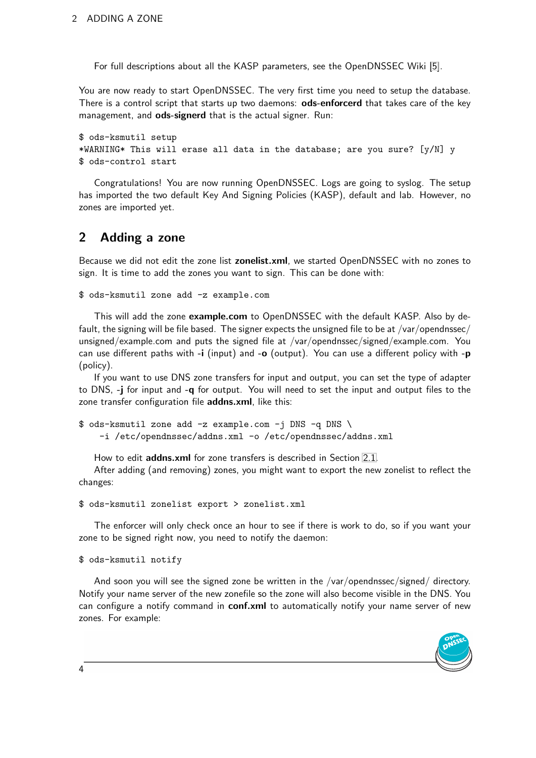For full descriptions about all the KASP parameters, see the OpenDNSSEC Wiki [\[5\]](#page-7-5).

You are now ready to start OpenDNSSEC. The very first time you need to setup the database. There is a control script that starts up two daemons: ods-enforcerd that takes care of the key management, and ods-signerd that is the actual signer. Run:

```
$ ods-ksmutil setup
*WARNING* This will erase all data in the database; are you sure? [y/N] y
$ ods-control start
```
Congratulations! You are now running OpenDNSSEC. Logs are going to syslog. The setup has imported the two default Key And Signing Policies (KASP), default and lab. However, no zones are imported yet.

# <span id="page-3-0"></span>2 Adding a zone

Because we did not edit the zone list zonelist.xml, we started OpenDNSSEC with no zones to sign. It is time to add the zones you want to sign. This can be done with:

\$ ods-ksmutil zone add -z example.com

This will add the zone example.com to OpenDNSSEC with the default KASP. Also by default, the signing will be file based. The signer expects the unsigned file to be at /var/opendnssec/ unsigned/example.com and puts the signed file at /var/opendnssec/signed/example.com. You can use different paths with  $-i$  (input) and  $-i$  (output). You can use a different policy with  $-i$ (policy).

If you want to use DNS zone transfers for input and output, you can set the type of adapter to DNS, -j for input and -q for output. You will need to set the input and output files to the zone transfer configuration file addns.xml, like this:

```
$ ods-ksmutil zone add -z example.com -j DNS -q DNS \
    -i /etc/opendnssec/addns.xml -o /etc/opendnssec/addns.xml
```
How to edit addns.xml for zone transfers is described in Section [2.1.](#page-4-0)

After adding (and removing) zones, you might want to export the new zonelist to reflect the changes:

```
$ ods-ksmutil zonelist export > zonelist.xml
```
The enforcer will only check once an hour to see if there is work to do, so if you want your zone to be signed right now, you need to notify the daemon:

\$ ods-ksmutil notify

And soon you will see the signed zone be written in the /var/opendnssec/signed/ directory. Notify your name server of the new zonefile so the zone will also become visible in the DNS. You can configure a notify command in conf.xml to automatically notify your name server of new zones. For example:

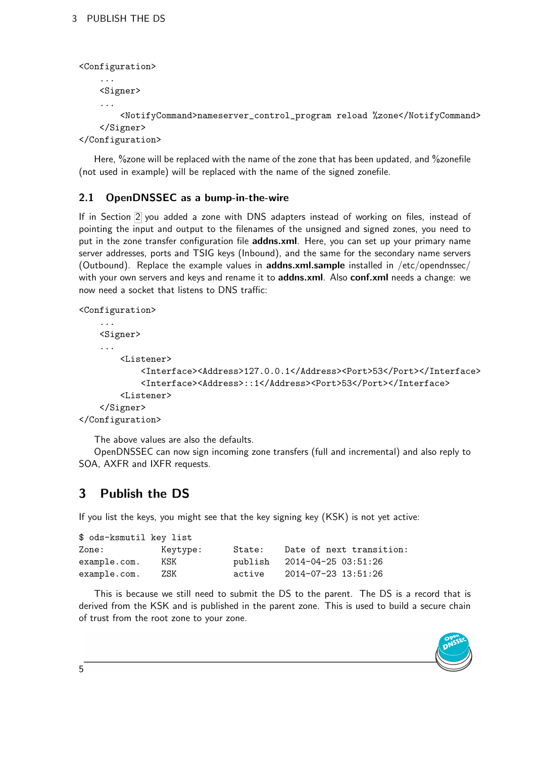```
<Configuration>
    ...
    <Signer>
    ...
        <NotifyCommand>nameserver_control_program reload %zone</NotifyCommand>
    </Signer>
</Configuration>
```
Here, %zone will be replaced with the name of the zone that has been updated, and %zonefile (not used in example) will be replaced with the name of the signed zonefile.

### <span id="page-4-0"></span>2.1 OpenDNSSEC as a bump-in-the-wire

If in Section [2](#page-3-0) you added a zone with DNS adapters instead of working on files, instead of pointing the input and output to the filenames of the unsigned and signed zones, you need to put in the zone transfer configuration file addns.xml. Here, you can set up your primary name server addresses, ports and TSIG keys (Inbound), and the same for the secondary name servers (Outbound). Replace the example values in **addns.xml.sample** installed in /etc/opendnssec/ with your own servers and keys and rename it to **addns.xml**. Also **conf.xml** needs a change: we now need a socket that listens to DNS traffic:

```
<Configuration>
```

```
...
    <Signer>
    ...
        <Listener>
            <Interface><Address>127.0.0.1</Address><Port>53</Port></Interface>
            <Interface><Address>::1</Address><Port>53</Port></Interface>
        <Listener>
    </Signer>
</Configuration>
```
The above values are also the defaults.

OpenDNSSEC can now sign incoming zone transfers (full and incremental) and also reply to SOA, AXFR and IXFR requests.

# <span id="page-4-1"></span>3 Publish the DS

If you list the keys, you might see that the key signing key (KSK) is not yet active:

| \$ ods-ksmutil key list |          |         |                          |
|-------------------------|----------|---------|--------------------------|
| Zone:                   | Keytype: | State:  | Date of next transition: |
| example.com.            | KSK      | publish | 2014-04-25 03:51:26      |
| example.com.            | 7.SK     | active  | 2014-07-23 13:51:26      |

This is because we still need to submit the DS to the parent. The DS is a record that is derived from the KSK and is published in the parent zone. This is used to build a secure chain of trust from the root zone to your zone.

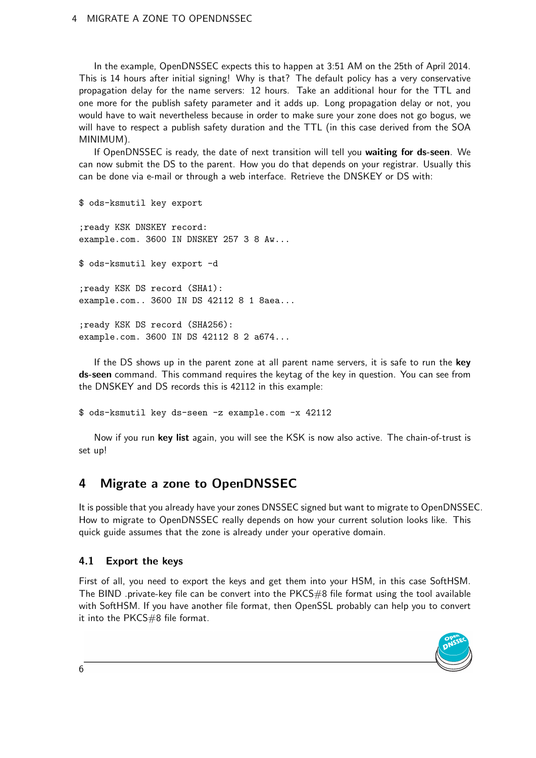#### 4 MIGRATE A ZONE TO OPENDNSSEC

In the example, OpenDNSSEC expects this to happen at 3:51 AM on the 25th of April 2014. This is 14 hours after initial signing! Why is that? The default policy has a very conservative propagation delay for the name servers: 12 hours. Take an additional hour for the TTL and one more for the publish safety parameter and it adds up. Long propagation delay or not, you would have to wait nevertheless because in order to make sure your zone does not go bogus, we will have to respect a publish safety duration and the TTL (in this case derived from the SOA MINIMUM).

If OpenDNSSEC is ready, the date of next transition will tell you waiting for ds-seen. We can now submit the DS to the parent. How you do that depends on your registrar. Usually this can be done via e-mail or through a web interface. Retrieve the DNSKEY or DS with:

\$ ods-ksmutil key export

;ready KSK DNSKEY record: example.com. 3600 IN DNSKEY 257 3 8 Aw...

\$ ods-ksmutil key export -d

;ready KSK DS record (SHA1): example.com.. 3600 IN DS 42112 8 1 8aea...

;ready KSK DS record (SHA256): example.com. 3600 IN DS 42112 8 2 a674...

If the DS shows up in the parent zone at all parent name servers, it is safe to run the key ds-seen command. This command requires the keytag of the key in question. You can see from the DNSKEY and DS records this is 42112 in this example:

\$ ods-ksmutil key ds-seen -z example.com -x 42112

Now if you run key list again, you will see the KSK is now also active. The chain-of-trust is set up!

# <span id="page-5-0"></span>4 Migrate a zone to OpenDNSSEC

It is possible that you already have your zones DNSSEC signed but want to migrate to OpenDNSSEC. How to migrate to OpenDNSSEC really depends on how your current solution looks like. This quick guide assumes that the zone is already under your operative domain.

#### <span id="page-5-1"></span>4.1 Export the keys

First of all, you need to export the keys and get them into your HSM, in this case SoftHSM. The BIND .private-key file can be convert into the PKCS#8 file format using the tool available with SoftHSM. If you have another file format, then OpenSSL probably can help you to convert it into the PKCS#8 file format.



6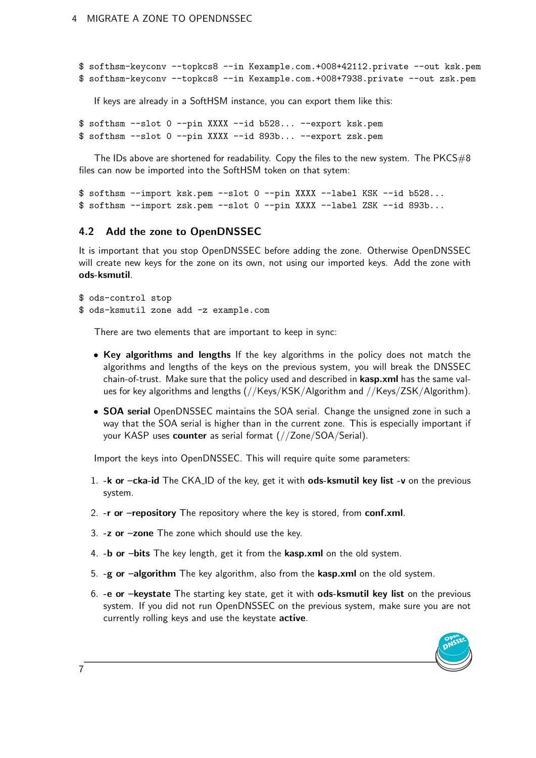```
$ softhsm-keyconv --topkcs8 --in Kexample.com.+008+42112.private --out ksk.pem
$ softhsm-keyconv --topkcs8 --in Kexample.com.+008+7938.private --out zsk.pem
```
If keys are already in a SoftHSM instance, you can export them like this:

\$ softhsm --slot 0 --pin XXXX --id b528... --export ksk.pem \$ softhsm --slot 0 --pin XXXX --id 893b... --export zsk.pem

The IDs above are shortened for readability. Copy the files to the new system. The  $PKCS#8$ files can now be imported into the SoftHSM token on that sytem:

```
$ softhsm --import ksk.pem --slot 0 --pin XXXX --label KSK --id b528...
$ softhsm --import zsk.pem --slot 0 --pin XXXX --label ZSK --id 893b...
```
#### <span id="page-6-0"></span>4.2 Add the zone to OpenDNSSEC

It is important that you stop OpenDNSSEC before adding the zone. Otherwise OpenDNSSEC will create new keys for the zone on its own, not using our imported keys. Add the zone with ods-ksmutil.

\$ ods-control stop \$ ods-ksmutil zone add -z example.com

There are two elements that are important to keep in sync:

- Key algorithms and lengths If the key algorithms in the policy does not match the algorithms and lengths of the keys on the previous system, you will break the DNSSEC chain-of-trust. Make sure that the policy used and described in kasp.xml has the same values for key algorithms and lengths (//Keys/KSK/Algorithm and //Keys/ZSK/Algorithm).
- SOA serial OpenDNSSEC maintains the SOA serial. Change the unsigned zone in such a way that the SOA serial is higher than in the current zone. This is especially important if your KASP uses counter as serial format (//Zone/SOA/Serial).

Import the keys into OpenDNSSEC. This will require quite some parameters:

- 1.  $-k$  or  $-cka$ -id The CKA ID of the key, get it with ods-ksmutil key list -v on the previous system.
- 2. -r or -repository The repository where the key is stored, from conf.xml.
- 3.  $-z$  or  $-z$  one The zone which should use the key.
- 4. -b or -bits The key length, get it from the kasp.xml on the old system.
- 5. -g or –algorithm The key algorithm, also from the kasp.xml on the old system.
- 6. -e or –keystate The starting key state, get it with ods-ksmutil key list on the previous system. If you did not run OpenDNSSEC on the previous system, make sure you are not currently rolling keys and use the keystate active.